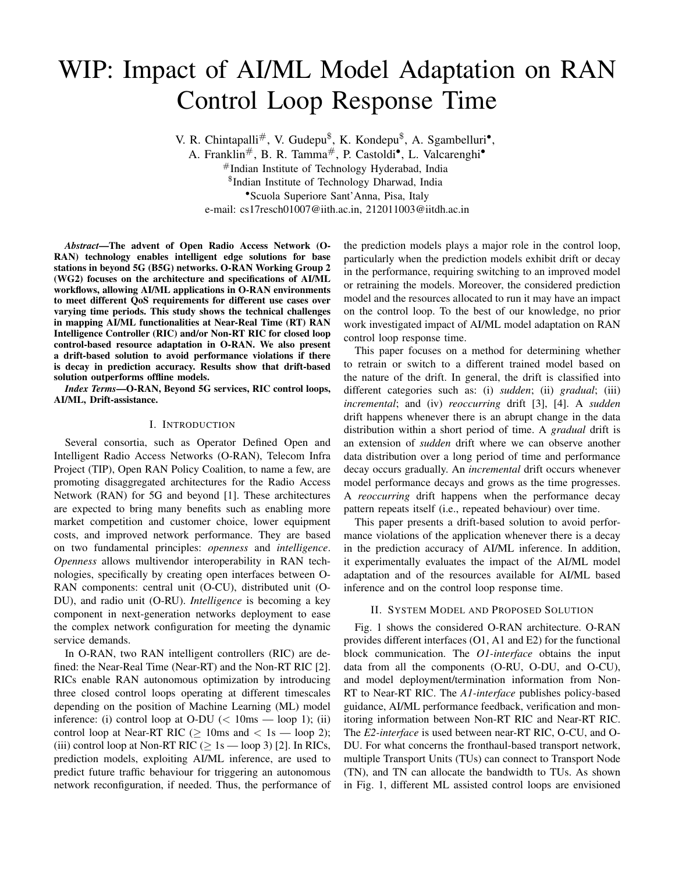# WIP: Impact of AI/ML Model Adaptation on RAN Control Loop Response Time

V. R. Chintapalli<sup>#</sup>, V. Gudepu<sup>\$</sup>, K. Kondepu<sup>\$</sup>, A. Sgambelluri<sup>•</sup>,

A. Franklin#, B. R. Tamma#, P. Castoldi•, L. Valcarenghi• #Indian Institute of Technology Hyderabad, India \$ Indian Institute of Technology Dharwad, India •Scuola Superiore Sant'Anna, Pisa, Italy

e-mail: cs17resch01007@iith.ac.in, 212011003@iitdh.ac.in

*Abstract*—The advent of Open Radio Access Network (O-RAN) technology enables intelligent edge solutions for base stations in beyond 5G (B5G) networks. O-RAN Working Group 2 (WG2) focuses on the architecture and specifications of AI/ML workflows, allowing AI/ML applications in O-RAN environments to meet different QoS requirements for different use cases over varying time periods. This study shows the technical challenges in mapping AI/ML functionalities at Near-Real Time (RT) RAN Intelligence Controller (RIC) and/or Non-RT RIC for closed loop control-based resource adaptation in O-RAN. We also present a drift-based solution to avoid performance violations if there is decay in prediction accuracy. Results show that drift-based solution outperforms offline models.

*Index Terms*—O-RAN, Beyond 5G services, RIC control loops, AI/ML, Drift-assistance.

## I. INTRODUCTION

Several consortia, such as Operator Defined Open and Intelligent Radio Access Networks (O-RAN), Telecom Infra Project (TIP), Open RAN Policy Coalition, to name a few, are promoting disaggregated architectures for the Radio Access Network (RAN) for 5G and beyond [1]. These architectures are expected to bring many benefits such as enabling more market competition and customer choice, lower equipment costs, and improved network performance. They are based on two fundamental principles: *openness* and *intelligence*. *Openness* allows multivendor interoperability in RAN technologies, specifically by creating open interfaces between O-RAN components: central unit (O-CU), distributed unit (O-DU), and radio unit (O-RU). *Intelligence* is becoming a key component in next-generation networks deployment to ease the complex network configuration for meeting the dynamic service demands.

In O-RAN, two RAN intelligent controllers (RIC) are defined: the Near-Real Time (Near-RT) and the Non-RT RIC [2]. RICs enable RAN autonomous optimization by introducing three closed control loops operating at different timescales depending on the position of Machine Learning (ML) model inference: (i) control loop at O-DU  $\left(\frac{1}{2} \text{ times } - \text{loop } 1\right)$ ; (ii) control loop at Near-RT RIC ( $\geq$  10ms and  $\lt$  1s — loop 2); (iii) control loop at Non-RT RIC ( $\geq 1$ s — loop 3) [2]. In RICs, prediction models, exploiting AI/ML inference, are used to predict future traffic behaviour for triggering an autonomous network reconfiguration, if needed. Thus, the performance of the prediction models plays a major role in the control loop, particularly when the prediction models exhibit drift or decay in the performance, requiring switching to an improved model or retraining the models. Moreover, the considered prediction model and the resources allocated to run it may have an impact on the control loop. To the best of our knowledge, no prior work investigated impact of AI/ML model adaptation on RAN control loop response time.

This paper focuses on a method for determining whether to retrain or switch to a different trained model based on the nature of the drift. In general, the drift is classified into different categories such as: (i) *sudden*; (ii) *gradual*; (iii) *incremental*; and (iv) *reoccurring* drift [3], [4]. A *sudden* drift happens whenever there is an abrupt change in the data distribution within a short period of time. A *gradual* drift is an extension of *sudden* drift where we can observe another data distribution over a long period of time and performance decay occurs gradually. An *incremental* drift occurs whenever model performance decays and grows as the time progresses. A *reoccurring* drift happens when the performance decay pattern repeats itself (i.e., repeated behaviour) over time.

This paper presents a drift-based solution to avoid performance violations of the application whenever there is a decay in the prediction accuracy of AI/ML inference. In addition, it experimentally evaluates the impact of the AI/ML model adaptation and of the resources available for AI/ML based inference and on the control loop response time.

## II. SYSTEM MODEL AND PROPOSED SOLUTION

Fig. 1 shows the considered O-RAN architecture. O-RAN provides different interfaces (O1, A1 and E2) for the functional block communication. The *O1-interface* obtains the input data from all the components (O-RU, O-DU, and O-CU), and model deployment/termination information from Non-RT to Near-RT RIC. The *A1-interface* publishes policy-based guidance, AI/ML performance feedback, verification and monitoring information between Non-RT RIC and Near-RT RIC. The *E2-interface* is used between near-RT RIC, O-CU, and O-DU. For what concerns the fronthaul-based transport network, multiple Transport Units (TUs) can connect to Transport Node (TN), and TN can allocate the bandwidth to TUs. As shown in Fig. 1, different ML assisted control loops are envisioned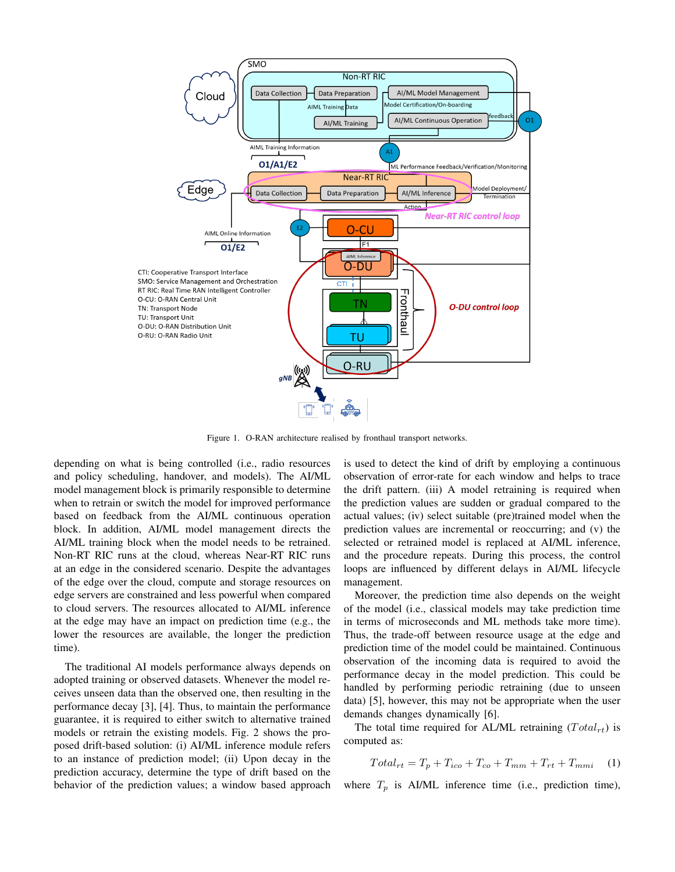

Figure 1. O-RAN architecture realised by fronthaul transport networks.

depending on what is being controlled (i.e., radio resources and policy scheduling, handover, and models). The AI/ML model management block is primarily responsible to determine when to retrain or switch the model for improved performance based on feedback from the AI/ML continuous operation block. In addition, AI/ML model management directs the AI/ML training block when the model needs to be retrained. Non-RT RIC runs at the cloud, whereas Near-RT RIC runs at an edge in the considered scenario. Despite the advantages of the edge over the cloud, compute and storage resources on edge servers are constrained and less powerful when compared to cloud servers. The resources allocated to AI/ML inference at the edge may have an impact on prediction time (e.g., the lower the resources are available, the longer the prediction time).

The traditional AI models performance always depends on adopted training or observed datasets. Whenever the model receives unseen data than the observed one, then resulting in the performance decay [3], [4]. Thus, to maintain the performance guarantee, it is required to either switch to alternative trained models or retrain the existing models. Fig. 2 shows the proposed drift-based solution: (i) AI/ML inference module refers to an instance of prediction model; (ii) Upon decay in the prediction accuracy, determine the type of drift based on the behavior of the prediction values; a window based approach is used to detect the kind of drift by employing a continuous observation of error-rate for each window and helps to trace the drift pattern. (iii) A model retraining is required when the prediction values are sudden or gradual compared to the actual values; (iv) select suitable (pre)trained model when the prediction values are incremental or reoccurring; and (v) the selected or retrained model is replaced at AI/ML inference, and the procedure repeats. During this process, the control loops are influenced by different delays in AI/ML lifecycle management.

Moreover, the prediction time also depends on the weight of the model (i.e., classical models may take prediction time in terms of microseconds and ML methods take more time). Thus, the trade-off between resource usage at the edge and prediction time of the model could be maintained. Continuous observation of the incoming data is required to avoid the performance decay in the model prediction. This could be handled by performing periodic retraining (due to unseen data) [5], however, this may not be appropriate when the user demands changes dynamically [6].

The total time required for AL/ML retraining  $(Total_{rt})$  is computed as:

$$
Total_{rt} = T_p + T_{ico} + T_{co} + T_{mm} + T_{rt} + T_{mmi} \tag{1}
$$

where  $T_p$  is AI/ML inference time (i.e., prediction time),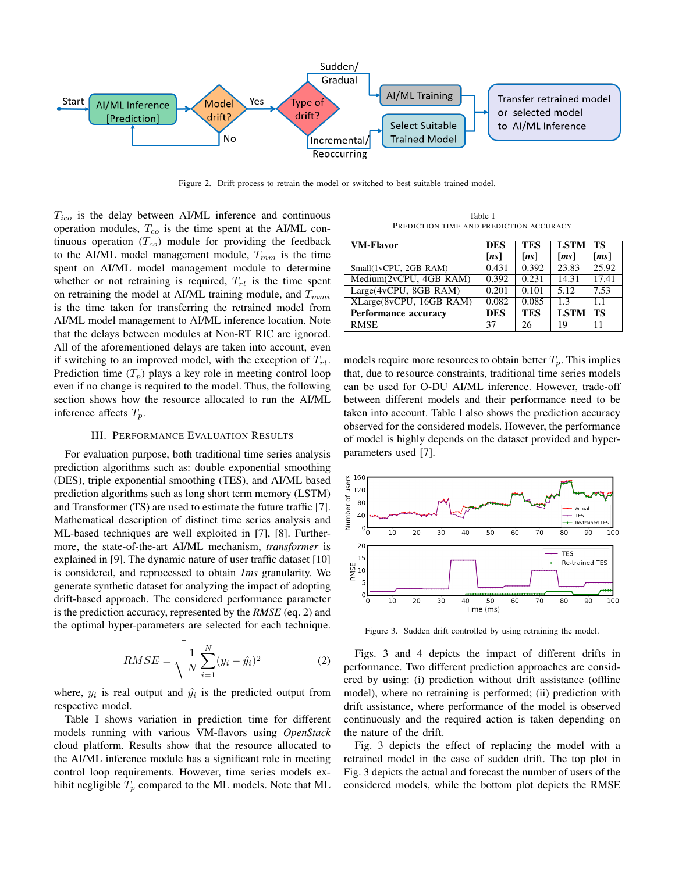

Figure 2. Drift process to retrain the model or switched to best suitable trained model.

 $T_{ico}$  is the delay between AI/ML inference and continuous operation modules,  $T_{co}$  is the time spent at the AI/ML continuous operation  $(T_{co})$  module for providing the feedback to the AI/ML model management module,  $T_{mm}$  is the time spent on AI/ML model management module to determine whether or not retraining is required,  $T_{rt}$  is the time spent on retraining the model at AI/ML training module, and  $T_{mmi}$ is the time taken for transferring the retrained model from AI/ML model management to AI/ML inference location. Note that the delays between modules at Non-RT RIC are ignored. All of the aforementioned delays are taken into account, even if switching to an improved model, with the exception of  $T_{rt}$ . Prediction time  $(T_p)$  plays a key role in meeting control loop even if no change is required to the model. Thus, the following section shows how the resource allocated to run the AI/ML inference affects  $T_p$ .

## III. PERFORMANCE EVALUATION RESULTS

For evaluation purpose, both traditional time series analysis prediction algorithms such as: double exponential smoothing (DES), triple exponential smoothing (TES), and AI/ML based prediction algorithms such as long short term memory (LSTM) and Transformer (TS) are used to estimate the future traffic [7]. Mathematical description of distinct time series analysis and ML-based techniques are well exploited in [7], [8]. Furthermore, the state-of-the-art AI/ML mechanism, *transformer* is explained in [9]. The dynamic nature of user traffic dataset [10] is considered, and reprocessed to obtain *1ms* granularity. We generate synthetic dataset for analyzing the impact of adopting drift-based approach. The considered performance parameter is the prediction accuracy, represented by the *RMSE* (eq. 2) and the optimal hyper-parameters are selected for each technique.

$$
RMSE = \sqrt{\frac{1}{N} \sum_{i=1}^{N} (y_i - \hat{y}_i)^2}
$$
 (2)

where,  $y_i$  is real output and  $\hat{y}_i$  is the predicted output from respective model.

Table I shows variation in prediction time for different models running with various VM-flavors using *OpenStack* cloud platform. Results show that the resource allocated to the AI/ML inference module has a significant role in meeting control loop requirements. However, time series models exhibit negligible  $T_p$  compared to the ML models. Note that ML

Table I PREDICTION TIME AND PREDICTION ACCURACY

| <b>VM-Flavor</b>        | <b>DES</b> | <b>TES</b>         | <b>LSTM</b>          | TS                   |
|-------------------------|------------|--------------------|----------------------|----------------------|
|                         | [ns]       | [ns]               | $\lfloor ms \rfloor$ | $\lfloor ms \rfloor$ |
| Small(1vCPU, 2GB RAM)   | 0.431      | $\overline{0.392}$ | 23.83                | 25.92                |
| Medium(2vCPU, 4GB RAM)  | 0.392      | 0.231              | 14.31                | 17.41                |
| Large(4vCPU, 8GB RAM)   | 0.201      | 0.101              | 5.12                 | 7.53                 |
| XLarge(8vCPU, 16GB RAM) | 0.082      | 0.085              | 1.3                  | $1\;1$               |
| Performance accuracy    | <b>DES</b> | <b>TES</b>         | <b>LSTM</b>          | ТS                   |
| <b>RMSE</b>             | 37         | 26                 | 19                   | 11                   |

models require more resources to obtain better  $T_p$ . This implies that, due to resource constraints, traditional time series models can be used for O-DU AI/ML inference. However, trade-off between different models and their performance need to be taken into account. Table I also shows the prediction accuracy observed for the considered models. However, the performance of model is highly depends on the dataset provided and hyperparameters used [7].



Figure 3. Sudden drift controlled by using retraining the model.

Figs. 3 and 4 depicts the impact of different drifts in performance. Two different prediction approaches are considered by using: (i) prediction without drift assistance (offline model), where no retraining is performed; (ii) prediction with drift assistance, where performance of the model is observed continuously and the required action is taken depending on the nature of the drift.

Fig. 3 depicts the effect of replacing the model with a retrained model in the case of sudden drift. The top plot in Fig. 3 depicts the actual and forecast the number of users of the considered models, while the bottom plot depicts the RMSE